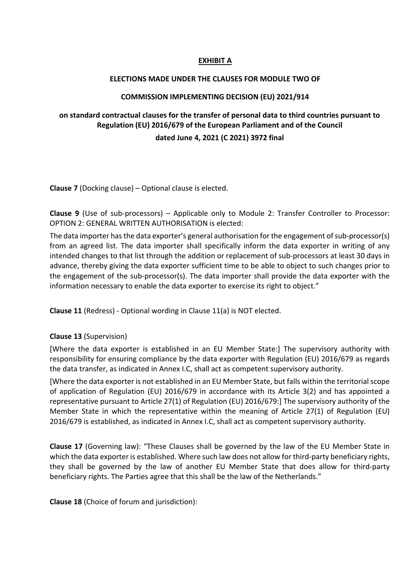#### **EXHIBIT A**

#### **ELECTIONS MADE UNDER THE CLAUSES FOR MODULE TWO OF**

#### **COMMISSION IMPLEMENTING DECISION (EU) 2021/914**

### **on standard contractual clauses for the transfer of personal data to third countries pursuant to Regulation (EU) 2016/679 of the European Parliament and of the Council**

#### **dated June 4, 2021 (C 2021) 3972 final**

**Clause 7** (Docking clause) – Optional clause is elected.

**Clause 9** (Use of sub-processors) – Applicable only to Module 2: Transfer Controller to Processor: OPTION 2: GENERAL WRITTEN AUTHORISATION is elected:

The data importer has the data exporter's general authorisation for the engagement of sub-processor(s) from an agreed list. The data importer shall specifically inform the data exporter in writing of any intended changes to that list through the addition or replacement of sub-processors at least 30 days in advance, thereby giving the data exporter sufficient time to be able to object to such changes prior to the engagement of the sub-processor(s). The data importer shall provide the data exporter with the information necessary to enable the data exporter to exercise its right to object."

**Clause 11** (Redress) - Optional wording in Clause 11(a) is NOT elected.

#### **Clause 13** (Supervision)

[Where the data exporter is established in an EU Member State:] The supervisory authority with responsibility for ensuring compliance by the data exporter with Regulation (EU) 2016/679 as regards the data transfer, as indicated in Annex I.C, shall act as competent supervisory authority.

[Where the data exporter is not established in an EU Member State, but falls within the territorial scope of application of Regulation (EU) 2016/679 in accordance with its Article 3(2) and has appointed a representative pursuant to Article 27(1) of Regulation (EU) 2016/679:] The supervisory authority of the Member State in which the representative within the meaning of Article 27(1) of Regulation (EU) 2016/679 is established, as indicated in Annex I.C, shall act as competent supervisory authority.

**Clause 17** (Governing law): "These Clauses shall be governed by the law of the EU Member State in which the data exporter is established. Where such law does not allow for third-party beneficiary rights, they shall be governed by the law of another EU Member State that does allow for third-party beneficiary rights. The Parties agree that this shall be the law of the Netherlands."

**Clause 18** (Choice of forum and jurisdiction):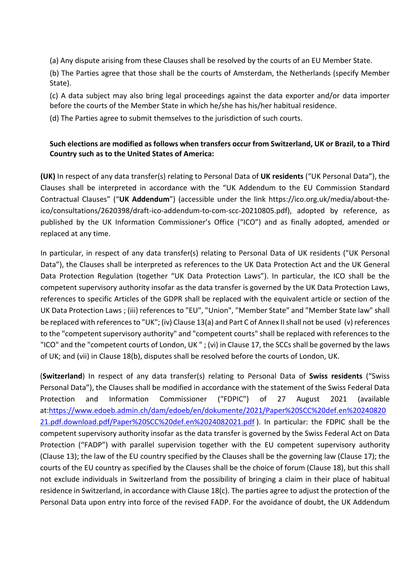(a) Any dispute arising from these Clauses shall be resolved by the courts of an EU Member State.

(b) The Parties agree that those shall be the courts of Amsterdam, the Netherlands (specify Member State).

(c) A data subject may also bring legal proceedings against the data exporter and/or data importer before the courts of the Member State in which he/she has his/her habitual residence.

(d) The Parties agree to submit themselves to the jurisdiction of such courts.

## **Such elections are modified as follows when transfers occur from Switzerland, UK or Brazil, to a Third Country such as to the United States of America:**

**(UK)** In respect of any data transfer(s) relating to Personal Data of **UK residents** ("UK Personal Data"), the Clauses shall be interpreted in accordance with the "UK Addendum to the EU Commission Standard Contractual Clauses" ("**UK Addendum**") (accessible under the link https://ico.org.uk/media/about-theico/consultations/2620398/draft-ico-addendum-to-com-scc-20210805.pdf), adopted by reference, as published by the UK Information Commissioner's Office ("ICO") and as finally adopted, amended or replaced at any time.

In particular, in respect of any data transfer(s) relating to Personal Data of UK residents ("UK Personal Data"), the Clauses shall be interpreted as references to the UK Data Protection Act and the UK General Data Protection Regulation (together "UK Data Protection Laws"). In particular, the ICO shall be the competent supervisory authority insofar as the data transfer is governed by the UK Data Protection Laws, references to specific Articles of the GDPR shall be replaced with the equivalent article or section of the UK Data Protection Laws ; (iii) references to "EU", "Union", "Member State" and "Member State law" shall be replaced with references to "UK"; (iv) Clause 13(a) and Part C of Annex II shall not be used (v) references to the "competent supervisory authority" and "competent courts" shall be replaced with references to the "ICO" and the "competent courts of London, UK " ; (vi) in Clause 17, the SCCs shall be governed by the laws of UK; and (vii) in Clause 18(b), disputes shall be resolved before the courts of London, UK.

(**Switzerland**) In respect of any data transfer(s) relating to Personal Data of **Swiss residents** ("Swiss Personal Data"), the Clauses shall be modified in accordance with the statement of the Swiss Federal Data Protection and Information Commissioner ("FDPIC") of 27 August 2021 (available at:https://www.edoeb.admin.ch/dam/edoeb/en/dokumente/2021/Paper%20SCC%20def.en%20240820 21.pdf.download.pdf/Paper%20SCC%20def.en%2024082021.pdf ). In particular: the FDPIC shall be the competent supervisory authority insofar as the data transfer is governed by the Swiss Federal Act on Data Protection ("FADP") with parallel supervision together with the EU competent supervisory authority (Clause 13); the law of the EU country specified by the Clauses shall be the governing law (Clause 17); the courts of the EU country as specified by the Clauses shall be the choice of forum (Clause 18), but this shall not exclude individuals in Switzerland from the possibility of bringing a claim in their place of habitual residence in Switzerland, in accordance with Clause 18(c). The parties agree to adjust the protection of the Personal Data upon entry into force of the revised FADP. For the avoidance of doubt, the UK Addendum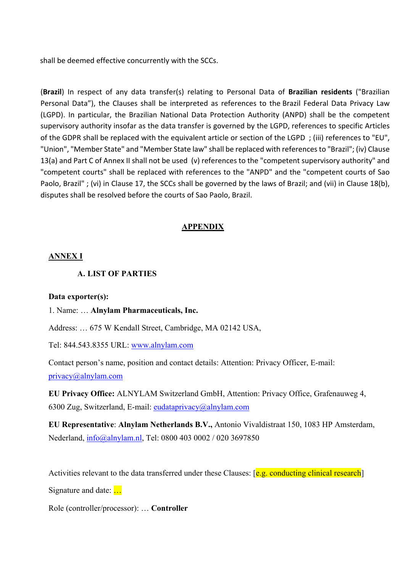shall be deemed effective concurrently with the SCCs.

(**Brazil**) In respect of any data transfer(s) relating to Personal Data of **Brazilian residents** ("Brazilian Personal Data"), the Clauses shall be interpreted as references to the Brazil Federal Data Privacy Law (LGPD). In particular, the Brazilian National Data Protection Authority (ANPD) shall be the competent supervisory authority insofar as the data transfer is governed by the LGPD, references to specific Articles of the GDPR shall be replaced with the equivalent article or section of the LGPD ; (iii) references to "EU", "Union", "Member State" and "Member State law" shall be replaced with references to "Brazil"; (iv) Clause 13(a) and Part C of Annex II shall not be used (v) references to the "competent supervisory authority" and "competent courts" shall be replaced with references to the "ANPD" and the "competent courts of Sao Paolo, Brazil" ; (vi) in Clause 17, the SCCs shall be governed by the laws of Brazil; and (vii) in Clause 18(b), disputes shall be resolved before the courts of Sao Paolo, Brazil.

## **APPENDIX**

### **ANNEX I**

### **A. LIST OF PARTIES**

#### **Data exporter(s):**

1. Name: … **Alnylam Pharmaceuticals, Inc.**

Address: … 675 W Kendall Street, Cambridge, MA 02142 USA,

Tel: 844.543.8355 URL: www.alnylam.com

Contact person's name, position and contact details: Attention: Privacy Officer, E-mail: privacy@alnylam.com

**EU Privacy Office:** ALNYLAM Switzerland GmbH, Attention: Privacy Office, Grafenauweg 4, 6300 Zug, Switzerland, E-mail: eudataprivacy@alnylam.com

**EU Representative**: **Alnylam Netherlands B.V.,** Antonio Vivaldistraat 150, 1083 HP Amsterdam, Nederland, info@alnylam.nl, Tel: 0800 403 0002 / 020 3697850

Activities relevant to the data transferred under these Clauses:  $\epsilon$  *e.g. conducting clinical research* 

Signature and date: ...

Role (controller/processor): … **Controller**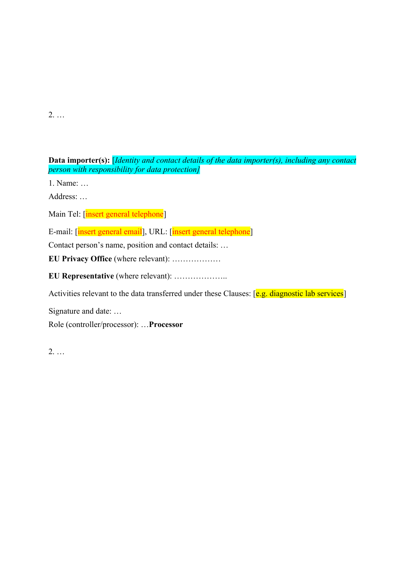2. …

**Data importer(s):** [*Identity and contact details of the data importer(s), including any contact person with responsibility for data protection]*

1. Name: …

Address: …

Main Tel: [insert general telephone]

E-mail: [insert general email], URL: [insert general telephone]

Contact person's name, position and contact details: …

**EU Privacy Office** (where relevant): ………………

**EU Representative** (where relevant): ………………..

Activities relevant to the data transferred under these Clauses: [e.g. diagnostic lab services]

Signature and date: …

Role (controller/processor): …**Processor**

2. …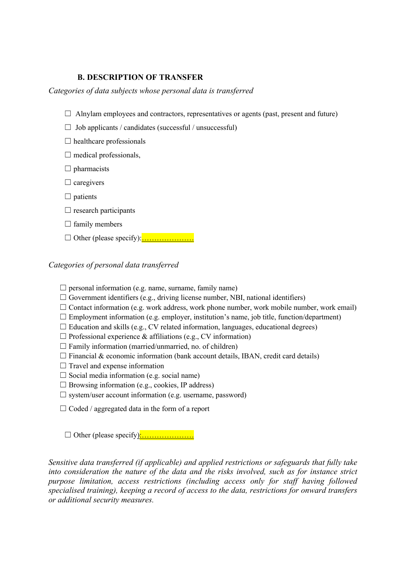#### **B. DESCRIPTION OF TRANSFER**

*Categories of data subjects whose personal data is transferred*

- $\Box$  Alnylam employees and contractors, representatives or agents (past, present and future)
- $\Box$  Job applicants / candidates (successful / unsuccessful)
- $\Box$  healthcare professionals
- $\Box$  medical professionals,
- $\Box$  pharmacists
- $\Box$  caregivers
- $\Box$  patients
- $\Box$  research participants
- $\Box$  family members
- ☐ Other (please specify):…………………

#### *Categories of personal data transferred*

- $\Box$  personal information (e.g. name, surname, family name)
- $\Box$  Government identifiers (e.g., driving license number, NBI, national identifiers)
- $\Box$  Contact information (e.g. work address, work phone number, work mobile number, work email)
- $\Box$  Employment information (e.g. employer, institution's name, job title, function/department)
- $\Box$  Education and skills (e.g., CV related information, languages, educational degrees)
- $\Box$  Professional experience & affiliations (e.g., CV information)
- $\Box$  Family information (married/unmarried, no. of children)
- $\Box$  Financial & economic information (bank account details, IBAN, credit card details)
- $\Box$  Travel and expense information
- $\Box$  Social media information (e.g. social name)
- $\Box$  Browsing information (e.g., cookies, IP address)
- $\Box$  system/user account information (e.g. username, password)
- $\Box$  Coded / aggregated data in the form of a report

☐ Other (please specify):…………………

*Sensitive data transferred (if applicable) and applied restrictions or safeguards that fully take into consideration the nature of the data and the risks involved, such as for instance strict purpose limitation, access restrictions (including access only for staff having followed specialised training), keeping a record of access to the data, restrictions for onward transfers or additional security measures.*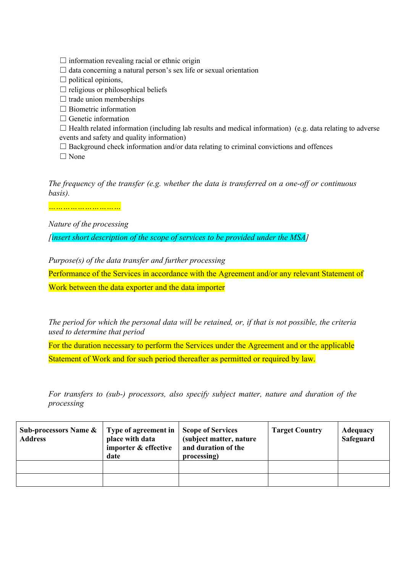- $\Box$  information revealing racial or ethnic origin
- $\Box$  data concerning a natural person's sex life or sexual orientation
- $\Box$  political opinions,
- $\Box$  religious or philosophical beliefs
- $\Box$  trade union memberships
- $\Box$  Biometric information
- $\Box$  Genetic information
- $\Box$  Health related information (including lab results and medical information) (e.g. data relating to adverse events and safety and quality information)
- $\Box$  Background check information and/or data relating to criminal convictions and offences

□ None

*The frequency of the transfer (e.g. whether the data is transferred on a one-off or continuous basis).*

*…………………………*

*Nature of the processing*

*[insert short description of the scope of services to be provided under the MSA]*

*Purpose(s) of the data transfer and further processing*

Performance of the Services in accordance with the Agreement and/or any relevant Statement of

Work between the data exporter and the data importer

*The period for which the personal data will be retained, or, if that is not possible, the criteria used to determine that period*

For the duration necessary to perform the Services under the Agreement and or the applicable Statement of Work and for such period thereafter as permitted or required by law.

*For transfers to (sub-) processors, also specify subject matter, nature and duration of the processing*

| <b>Sub-processors Name &amp;</b><br><b>Address</b> | Type of agreement in<br>place with data<br>importer & effective<br>date | Scope of Services<br>(subject matter, nature<br>and duration of the<br>processing) | <b>Target Country</b> | <b>Adequacy</b><br>Safeguard |
|----------------------------------------------------|-------------------------------------------------------------------------|------------------------------------------------------------------------------------|-----------------------|------------------------------|
|                                                    |                                                                         |                                                                                    |                       |                              |
|                                                    |                                                                         |                                                                                    |                       |                              |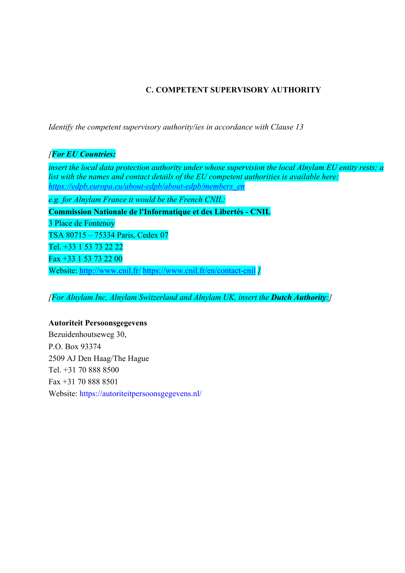# **C. COMPETENT SUPERVISORY AUTHORITY**

*Identify the competent supervisory authority/ies in accordance with Clause 13*

## *[For EU Countries:*

*insert the local data protection authority under whose supervision the local Alnylam EU entity rests; a list with the names and contact details of the EU competent authorities is available here: https://edpb.europa.eu/about-edpb/about-edpb/members\_en*

*e.g. for Alnylam France it would be the French CNIL:* 

**Commission Nationale de l'Informatique et des Libertés - CNIL**

3 Place de Fontenoy

TSA 80715 – 75334 Paris, Cedex 07

Tel. +33 1 53 73 22 22

Fax +33 1 53 73 22 00

Website: http://www.cnil.fr/ https://www.cnil.fr/en/contact-cnil *]*

*[For Alnylam Inc, Alnylam Switzerland and Alnylam UK, insert the Dutch Authority:<i>]* 

### **Autoriteit Persoonsgegevens**

Bezuidenhoutseweg 30, P.O. Box 93374 2509 AJ Den Haag/The Hague Tel. +31 70 888 8500 Fax +31 70 888 8501 Website: https://autoriteitpersoonsgegevens.nl/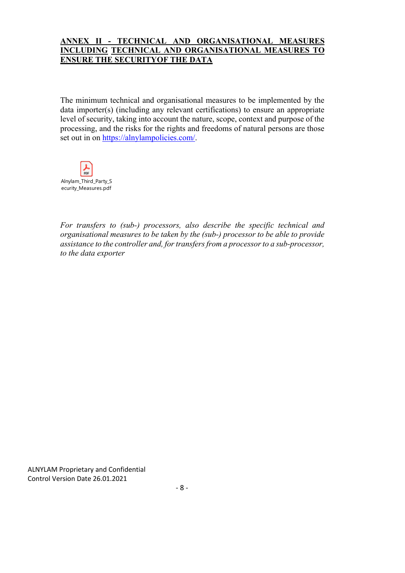### **ANNEX II - TECHNICAL AND ORGANISATIONAL MEASURES INCLUDING TECHNICAL AND ORGANISATIONAL MEASURES TO ENSURE THE SECURITYOF THE DATA**

The minimum technical and organisational measures to be implemented by the data importer(s) (including any relevant certifications) to ensure an appropriate level of security, taking into account the nature, scope, context and purpose of the processing, and the risks for the rights and freedoms of natural persons are those set out in on https://alnylampolicies.com/.



*For transfers to (sub-) processors, also describe the specific technical and organisational measures to be taken by the (sub-) processor to be able to provide assistance to the controller and, for transfers from a processor to a sub-processor, to the data exporter*

ALNYLAM Proprietary and Confidential Control Version Date 26.01.2021